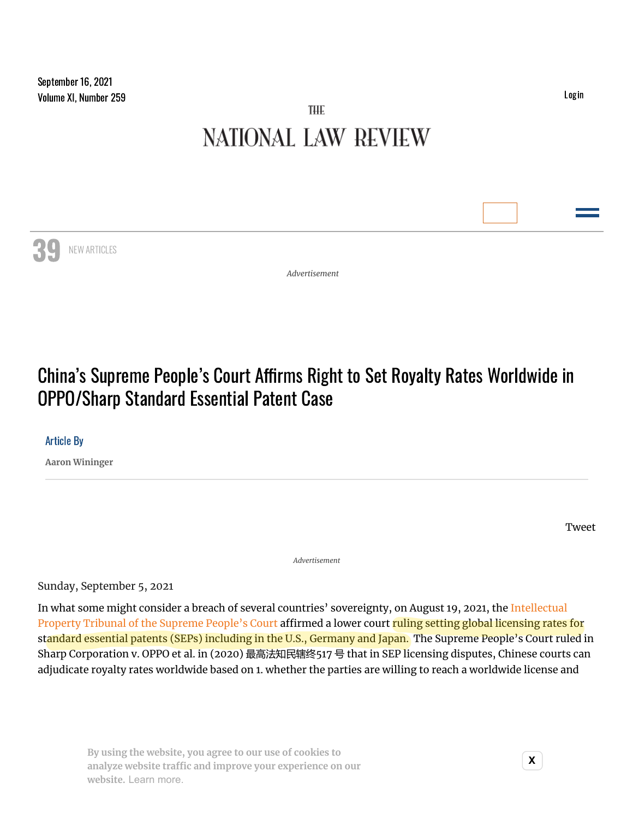NEW ARTICLES

# THE **NATIONAL LAW REVIEW**

39

*Advertisement*

# China's Supreme People's Court Affirms Right to Set Royalty Rates Worldwide in OPPO/Sharp Standard Essential Patent Case

## Article By

**Aaron [Wininger](https://www.natlawreview.com/author/aaron-wininger)**

[Tweet](https://twitter.com/share)

*Advertisement*

Sunday, September 5, 2021

In what some might consider a breach of several countries' [sovereignty,](http://ipc.court.gov.cn/zh-cn/index.html) on August 19, 2021, the Intellectual Property Tribunal of the Supreme People's Court affirmed a lower court ruling setting global licensing rates for standard essential patents (SEPs) including in the U.S., Germany and Japan. The Supreme People's Court ruled in Sharp Corporation v. OPPO et al. in (2020) 最高法知民辖终517 号 that in SEP licensing disputes, Chinese courts can adjudicate royalty rates worldwide based on 1. whether the parties are willing to reach a worldwide license and

**× analyze website traffic and improve your ex[perie](https://publir.com/)nce on our By using the website, you agree to our use of cookies to website.** Learn more.

[Login](https://www.natlawreview.com/user)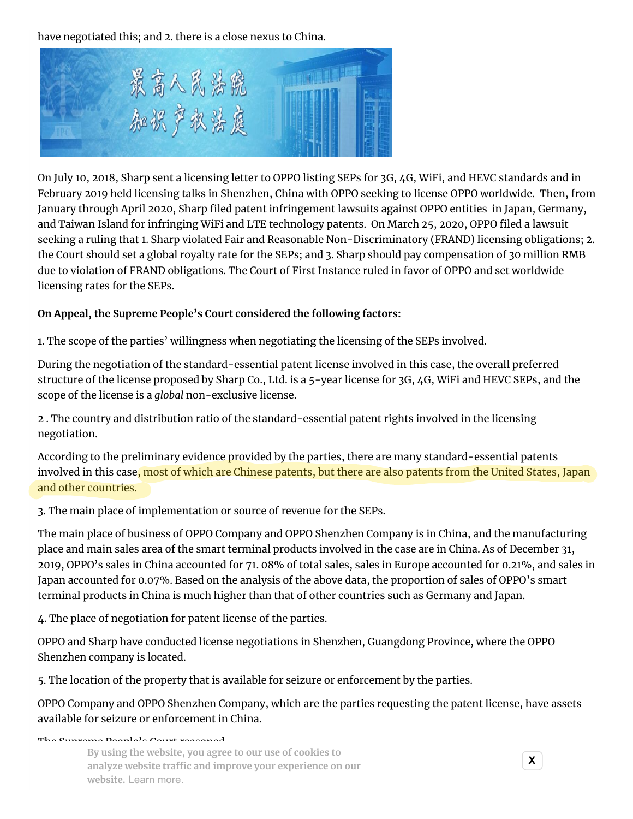have negotiated this; and 2. there is a close nexus to China.



On July 10, 2018, Sharp sent a licensing letter to OPPO listing SEPs for 3G, 4G, WiFi, and HEVC standards and in February 2019 held licensing talks in Shenzhen, China with OPPO seeking to license OPPO worldwide. Then, from January through April 2020, Sharp filed patent infringement lawsuits against OPPO entities in Japan, Germany, and Taiwan Island for infringing WiFi and LTE technology patents. On March 25, 2020, OPPO filed a lawsuit seeking a ruling that 1. Sharp violated Fair and Reasonable Non-Discriminatory (FRAND) licensing obligations; 2. the Court should set a global royalty rate for the SEPs; and 3. Sharp should pay compensation of 30 million RMB due to violation of FRAND obligations. The Court of First Instance ruled in favor of OPPO and set worldwide licensing rates for the SEPs.

## **On Appeal, the Supreme People's Court considered the following factors:**

1. The scope of the parties' willingness when negotiating the licensing of the SEPs involved.

During the negotiation of the standard-essential patent license involved in this case, the overall preferred structure of the license proposed by Sharp Co., Ltd. is a 5-year license for 3G, 4G, WiFi and HEVC SEPs, and the scope of the license is a *global* non-exclusive license.

2 . The country and distribution ratio of the standard-essential patent rights involved in the licensing negotiation.

According to the preliminary evidence provided by the parties, there are many standard-essential patents involved in this case, most of which are Chinese patents, but there are also patents from the United States, Japan and other countries.

3. The main place of implementation or source of revenue for the SEPs.

The main place of business of OPPO Company and OPPO Shenzhen Company is in China, and the manufacturing place and main sales area of the smart terminal products involved in the case are in China. As of December 31, 2019, OPPO's sales in China accounted for 71. 08% of total sales, sales in Europe accounted for 0.21%, and sales in Japan accounted for 0.07%. Based on the analysis of the above data, the proportion of sales of OPPO's smart terminal products in China is much higher than that of other countries such as Germany and Japan.

4. The place of negotiation for patent license of the parties.

OPPO and Sharp have conducted license negotiations in Shenzhen, Guangdong Province, where the OPPO Shenzhen company is located.

5. The location of the property that is available for seizure or enforcement by the parties.

OPPO Company and OPPO Shenzhen Company, which are the parties requesting the patent license, have assets available for seizure or enforcement in China.

The Supreme People's Court reasoned, **× analyze website traffic and improve your ex[perie](https://publir.com/)nce on our By using the website, you agree to our use of cookies to website.** Learn more.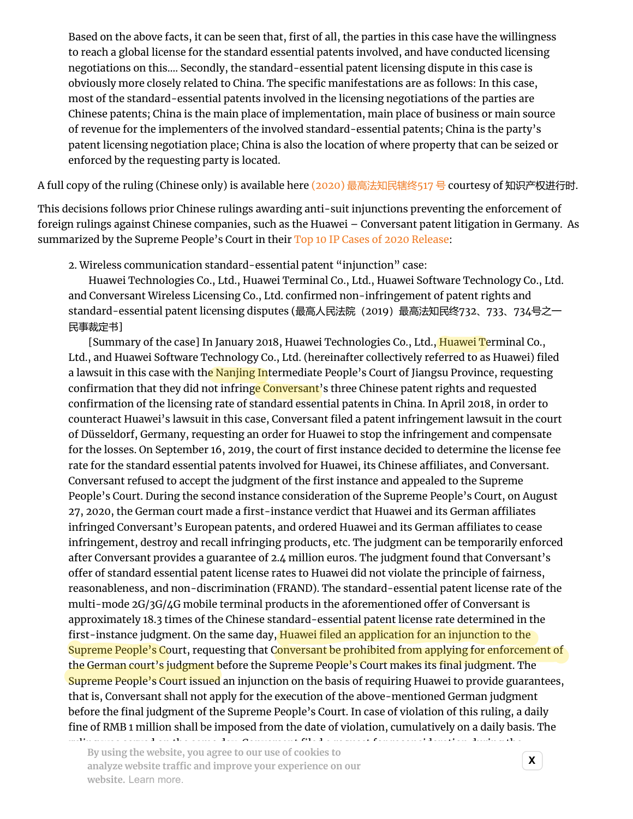Based on the above facts, it can be seen that, first of all, the parties in this case have the willingness to reach a global license for the standard essential patents involved, and have conducted licensing negotiations on this…. Secondly, the standard-essential patent licensing dispute in this case is obviously more closely related to China. The specific manifestations are as follows: In this case, most of the standard-essential patents involved in the licensing negotiations of the parties are Chinese patents; China is the main place of implementation, main place of business or main source of revenue for the implementers of the involved standard-essential patents; China is the party's patent licensing negotiation place; China is also the location of where property that can be seized or enforced by the requesting party is located.

A full copy of the ruling (Chinese only) is available here (2020) [最高法知民辖终](http://www.chinaiplawupdate.com/wp-content/uploads/2021/09/2020-%E6%9C%80%E9%AB%98%E6%B3%95%E7%9F%A5%E6%B0%91%E8%BE%96%E7%BB%88517-%E5%8F%B7.pdf)517 号 courtesy of 知识产权进行时.

This decisions follows prior Chinese rulings awarding anti-suit injunctions preventing the enforcement of foreign rulings against Chinese companies, such as the Huawei – Conversant patent litigation in Germany. As summarized by the Supreme People's Court in their Top 10 IP Cases of 2020 [Release](https://www.chinaiplawupdate.com/2021/05/chinas-supreme-peoples-court-releases-top-10-intellectual-property-cases-in-chinese-courts-in-2020/):

2. Wireless communication standard-essential patent "injunction" case:

 Huawei Technologies Co., Ltd., Huawei Terminal Co., Ltd., Huawei Software Technology Co., Ltd. and Conversant Wireless Licensing Co., Ltd. confirmed non-infringement of patent rights and standard-essential patent licensing disputes (最高人民法院(2019)最高法知民终732、733、734号之一 民事裁定书]

 [Summary of the case] In January 2018, Huawei Technologies Co., Ltd., Huawei Terminal Co., Ltd., and Huawei Software Technology Co., Ltd. (hereinafter collectively referred to as Huawei) filed a lawsuit in this case with the Nanjing Intermediate People's Court of Jiangsu Province, requesting confirmation that they did not infringe Conversant's three Chinese patent rights and requested confirmation of the licensing rate of standard essential patents in China. In April 2018, in order to counteract Huawei's lawsuit in this case, Conversant filed a patent infringement lawsuit in the court of Düsseldorf, Germany, requesting an order for Huawei to stop the infringement and compensate for the losses. On September 16, 2019, the court of first instance decided to determine the license fee rate for the standard essential patents involved for Huawei, its Chinese affiliates, and Conversant. Conversant refused to accept the judgment of the first instance and appealed to the Supreme People's Court. During the second instance consideration of the Supreme People's Court, on August 27, 2020, the German court made a first-instance verdict that Huawei and its German affiliates infringed Conversant's European patents, and ordered Huawei and its German affiliates to cease infringement, destroy and recall infringing products, etc. The judgment can be temporarily enforced after Conversant provides a guarantee of 2.4 million euros. The judgment found that Conversant's offer of standard essential patent license rates to Huawei did not violate the principle of fairness, reasonableness, and non-discrimination (FRAND). The standard-essential patent license rate of the multi-mode 2G/3G/4G mobile terminal products in the aforementioned offer of Conversant is approximately 18.3 times of the Chinese standard-essential patent license rate determined in the first-instance judgment. On the same day, Huawei filed an application for an injunction to the Supreme People's Court, requesting that Conversant be prohibited from applying for enforcement of the German court's judgment before the Supreme People's Court makes its final judgment. The Supreme People's Court issued an injunction on the basis of requiring Huawei to provide guarantees, that is, Conversant shall not apply for the execution of the above-mentioned German judgment before the final judgment of the Supreme People's Court. In case of violation of this ruling, a daily fine of RMB 1 million shall be imposed from the date of violation, cumulatively on a daily basis. The

ruling was served on the same day. Conversant filed a request for reconsideration during the  $\mathbf{y}$  dsing the website, you agree to our use of cookies to  $\mathbf{x}$ website. Learn more. **By using the website, you agree to our use of cookies to**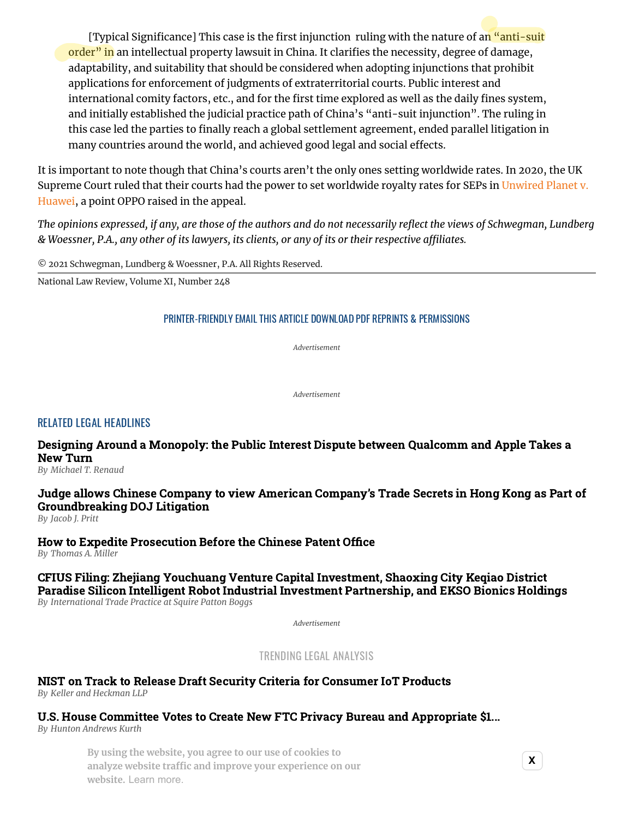[Typical Significance] This case is the first injunction ruling with the nature of an "anti-suit" order" in an intellectual property lawsuit in China. It clarifies the necessity, degree of damage, adaptability, and suitability that should be considered when adopting injunctions that prohibit applications for enforcement of judgments of extraterritorial courts. Public interest and international comity factors, etc., and for the first time explored as well as the daily fines system, and initially established the judicial practice path of China's "anti-suit injunction". The ruling in this case led the parties to finally reach a global settlement agreement, ended parallel litigation in many countries around the world, and achieved good legal and social effects.

It is important to note though that China's courts aren't the only ones setting worldwide rates. In 2020, the UK Supreme Court ruled that their courts had the power to set [worldwide](https://www.supremecourt.uk/cases/uksc-2018-0214.html) royalty rates for SEPs in Unwired Planet v. Huawei, a point OPPO raised in the appeal.

The opinions expressed, if any, are those of the authors and do not necessarily reflect the views of Schweqman, Lundberq & Woessner, P.A., any other of its lawyers, its clients, or any of its or their respective affiliates.

© 2021 Schwegman, Lundberg & Woessner, P.A. All Rights Reserved.

National Law Review, Volume XI, Number 248

### [PRINTER-FRIENDLY](https://www.natlawreview.com/print/article/china-s-supreme-people-s-court-affirms-right-to-set-royalty-rates-worldwide) EMAIL THIS [ARTICLE](https://www.natlawreview.com/printmail/article/china-s-supreme-people-s-court-affirms-right-to-set-royalty-rates-worldwide) [DOWNLOAD](https://www.natlawreview.com/printpdf/155852) PDF REPRINTS & [PERMISSIONS](https://www.natlawreview.com/reprints-and-permissions)

*Advertisement*

*Advertisement*

## RELATED LEGAL HEADLINES

[Designing Around a Monopoly: the Public Interest Dispute between Qualcomm and Apple Takes a](https://www.natlawreview.com/article/designing-around-monopoly-public-interest-dispute-between-qualcomm-and-apple-takes) New Turn

*By [Michael](https://www.natlawreview.com/author/michael-t-renaud) T. Renaud*

## [Judge allows Chinese Company to view American Company's Trade Secrets in Hong Kong as Part of](https://www.natlawreview.com/article/judge-allows-chinese-company-to-view-american-company-s-trade-secrets-hong-kong-part) Groundbreaking DOJ Litigation

*By [Jacob](https://www.natlawreview.com/author/jacob-j-pritt) J. Pritt*

[How to Expedite Prosecution Before the Chinese Patent Office](https://www.natlawreview.com/article/how-to-expedite-prosecution-chinese-patent-office) *By [Thomas](https://www.natlawreview.com/author/thomas-miller-0) A. Miller*

CFIUS Filing: Zhejiang Youchuang Venture Capital Investment, Shaoxing City Keqiao District [Paradise Silicon Intelligent Robot Industrial Investment Partnership, and EKSO Bionics Holdings](https://www.natlawreview.com/article/cfius-filing-zhejiang-youchuang-venture-capital-investment-shaoxing-city-keqiao) *By [International](https://www.natlawreview.com/author/international-trade-practice-squire-patton-boggs) Trade Practice at Squire Patton Boggs*

*Advertisement*

TRENDING LEGAL ANALYSIS

## [NIST on Track to Release Draft Security Criteria for Consumer IoT Products](https://www.natlawreview.com/article/nist-track-to-release-draft-security-criteria-consumer-iot-products)

*By Keller and Heckman LLP*

## [U.S. House Committee Votes to Create New FTC Privacy Bureau and Appropriate \\$1...](https://www.natlawreview.com/article/us-house-committee-votes-to-create-new-ftc-privacy-bureau-and-appropriate-1-billion)

*By Hunton Andrews Kurth*

[Sixth Circuit: It's a Go on Plaintiff's Claims Despite Arbitration Clause](https://www.natlawreview.com/article/sixth-circuit-it-s-go-plaintiff-s-claims-despite-arbitration-clause) **By using the website, you agree to our use of cookies to** *By McDermott Will & Emery* **× analyze website traffic and improve your ex[perie](https://publir.com/)nce on our website.** Learn more.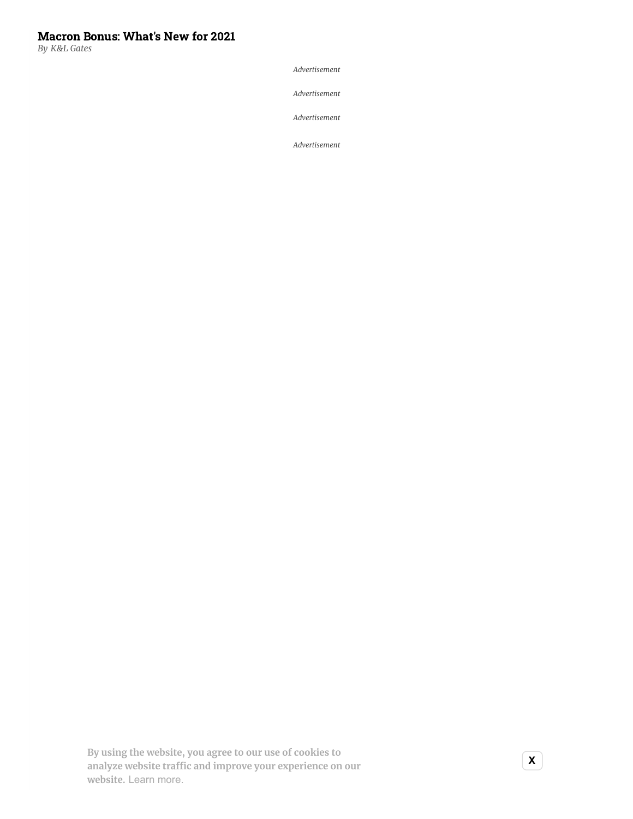## [Macron Bonus: What's New for 2021](https://www.natlawreview.com/article/macron-bonus-what-s-new-2021)

*By K&L Gates*

*Advertisement*

*Advertisement*

*Advertisement*

*Advertisement*

**× analyze website traffic and improve your ex[perie](https://publir.com/)nce on our By using the website, you agree to our use of cookies to website.** Learn more.